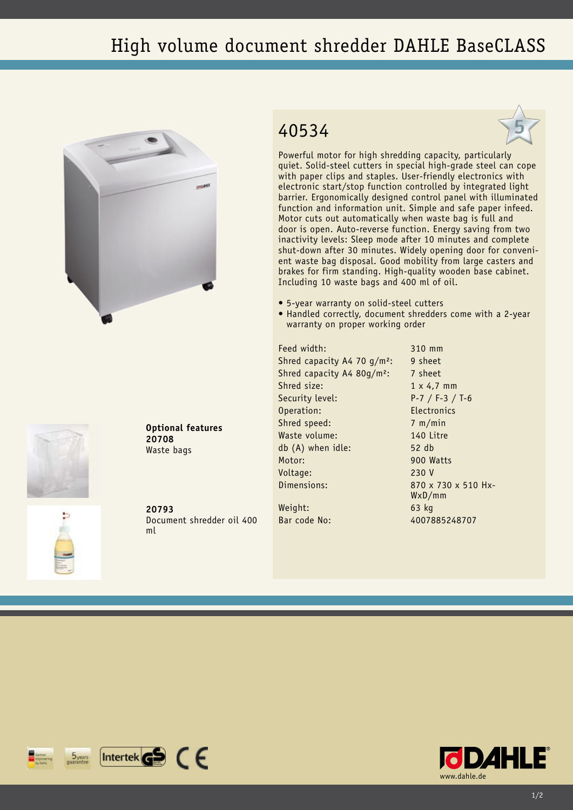## High volume document shredder DAHLE BaseCLASS





**Optional features 20708** Waste bags

**20793** Document shredder oil 400 ml

## 40534



Powerful motor for high shredding capacity, particularly quiet. Solid-steel cutters in special high-grade steel can cope with paper clips and staples. User-friendly electronics with electronic start/stop function controlled by integrated light barrier. Ergonomically designed control panel with illuminated function and information unit. Simple and safe paper infeed. Motor cuts out automatically when waste bag is full and door is open. Auto-reverse function. Energy saving from two inactivity levels: Sleep mode after 10 minutes and complete shut-down after 30 minutes. Widely opening door for convenient waste bag disposal. Good mobility from large casters and brakes for firm standing. High-quality wooden base cabinet. Including 10 waste bags and 400 ml of oil.

- • 5-year warranty on solid-steel cutters
- Handled correctly, document shredders come with a 2-year warranty on proper working order

Feed width: 310 mm Shred capacity A4 70  $q/m^2$ : 9 sheet Shred capacity A4 80g/m<sup>2</sup>: 7 sheet Shred size: 1 x 4.7 mm Security level: P-7 / F-3 / T-6 Operation: Electronics Shred speed: 7 m/min Waste volume: 140 Litre db (A) when idle: 52 db Motor: 900 Watts Voltage: 230 V Dimensions: 870 x 730 x 510 Hx-Weight: 63 kg

WxD/mm Bar code No: 4007885248707

 $[$ Intertek $\mathbf{G}$  $\mathbf{S}$   $\in$   $\in$  $5<sub>years</sub>$